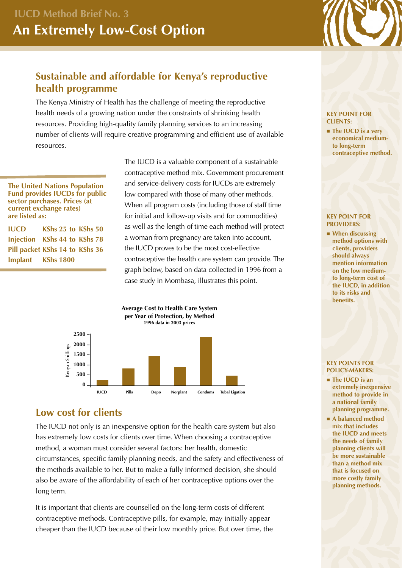# **Sustainable and affordable for Kenya's reproductive health programme**

The Kenya Ministry of Health has the challenge of meeting the reproductive health needs of a growing nation under the constraints of shrinking health resources. Providing high-quality family planning services to an increasing number of clients will require creative programming and efficient use of available resources.

**The United Nations Population Fund provides IUCDs for public sector purchases. Prices (at current exchange rates) are listed as:**

**IUCD KShs 25 to KShs 50 Injection KShs 44 to KShs 78 Pill packet KShs 14 to KShs 36 Implant KShs 1800**

The IUCD is a valuable component of a sustainable contraceptive method mix. Government procurement and service-delivery costs for IUCDs are extremely low compared with those of many other methods. When all program costs (including those of staff time for initial and follow-up visits and for commodities) as well as the length of time each method will protect a woman from pregnancy are taken into account, the IUCD proves to be the most cost-effective contraceptive the health care system can provide. The graph below, based on data collected in 1996 from a case study in Mombasa, illustrates this point.



## **Low cost for clients**

The IUCD not only is an inexpensive option for the health care system but also has extremely low costs for clients over time. When choosing a contraceptive method, a woman must consider several factors: her health, domestic circumstances, specific family planning needs, and the safety and effectiveness of the methods available to her. But to make a fully informed decision, she should also be aware of the affordability of each of her contraceptive options over the long term.

It is important that clients are counselled on the long-term costs of different contraceptive methods. Contraceptive pills, for example, may initially appear cheaper than the IUCD because of their low monthly price. But over time, the

#### **KEY POINT FOR CLIENTS:**

**n** The IUCD is a very **economical mediumto long-term contraceptive method.**

#### **KEY POINT FOR PROVIDERS:**

■ When discussing **method options with clients, providers should always mention information on the low mediumto long-term cost of the IUCD, in addition to its risks and benefits.**

#### **KEY POINTS FOR POLICY-MAKERS:**

- The IUCD is an **extremely inexpensive method to provide in a national family planning programme.**
- n **A balanced method mix that includes the IUCD and meets the needs of family planning clients will be more sustainable than a method mix that is focused on more costly family planning methods.**